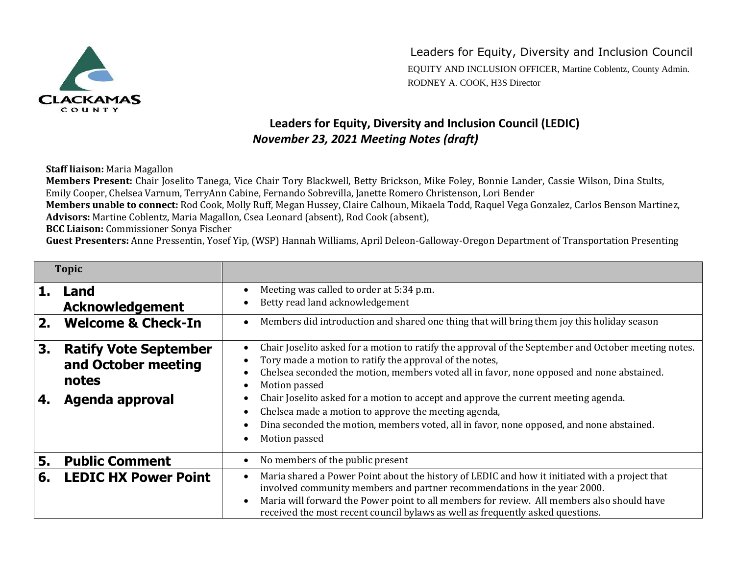

EQUITY AND INCLUSION OFFICER, Martine Coblentz, County Admin. RODNEY A. COOK, H3S Director

## **Leaders for Equity, Diversity and Inclusion Council (LEDIC)** *November 23, 2021 Meeting Notes (draft)*

**Staff liaison:** Maria Magallon

**Members Present:** Chair Joselito Tanega, Vice Chair Tory Blackwell, Betty Brickson, Mike Foley, Bonnie Lander, Cassie Wilson, Dina Stults, Emily Cooper, Chelsea Varnum, TerryAnn Cabine, Fernando Sobrevilla, Janette Romero Christenson, Lori Bender

**Members unable to connect:** Rod Cook, Molly Ruff, Megan Hussey, Claire Calhoun, Mikaela Todd, Raquel Vega Gonzalez, Carlos Benson Martinez, **Advisors:** Martine Coblentz, Maria Magallon, Csea Leonard (absent), Rod Cook (absent),

**BCC Liaison:** Commissioner Sonya Fischer

**Guest Presenters:** Anne Pressentin, Yosef Yip, (WSP) Hannah Williams, April Deleon-Galloway-Oregon Department of Transportation Presenting

| <b>Topic</b> |                                                                                 |                                                                                                                                                                                                                                                                                                                                                                                                             |
|--------------|---------------------------------------------------------------------------------|-------------------------------------------------------------------------------------------------------------------------------------------------------------------------------------------------------------------------------------------------------------------------------------------------------------------------------------------------------------------------------------------------------------|
| 1.           | Land<br><b>Acknowledgement</b>                                                  | Meeting was called to order at 5:34 p.m.<br>$\bullet$<br>Betty read land acknowledgement                                                                                                                                                                                                                                                                                                                    |
| 2.           | <b>Welcome &amp; Check-In</b>                                                   | Members did introduction and shared one thing that will bring them joy this holiday season<br>$\bullet$                                                                                                                                                                                                                                                                                                     |
| 3.<br>4.     | <b>Ratify Vote September</b><br>and October meeting<br>notes<br>Agenda approval | Chair Joselito asked for a motion to ratify the approval of the September and October meeting notes.<br>$\bullet$<br>Tory made a motion to ratify the approval of the notes,<br>Chelsea seconded the motion, members voted all in favor, none opposed and none abstained.<br>Motion passed<br>$\bullet$<br>Chair Joselito asked for a motion to accept and approve the current meeting agenda.<br>$\bullet$ |
|              |                                                                                 | Chelsea made a motion to approve the meeting agenda,<br>$\bullet$<br>Dina seconded the motion, members voted, all in favor, none opposed, and none abstained.<br>$\bullet$<br>Motion passed<br>$\bullet$                                                                                                                                                                                                    |
| 5.           | <b>Public Comment</b>                                                           | No members of the public present<br>$\bullet$                                                                                                                                                                                                                                                                                                                                                               |
| 6.           | <b>LEDIC HX Power Point</b>                                                     | Maria shared a Power Point about the history of LEDIC and how it initiated with a project that<br>$\bullet$<br>involved community members and partner recommendations in the year 2000.<br>Maria will forward the Power point to all members for review. All members also should have<br>$\bullet$<br>received the most recent council bylaws as well as frequently asked questions.                        |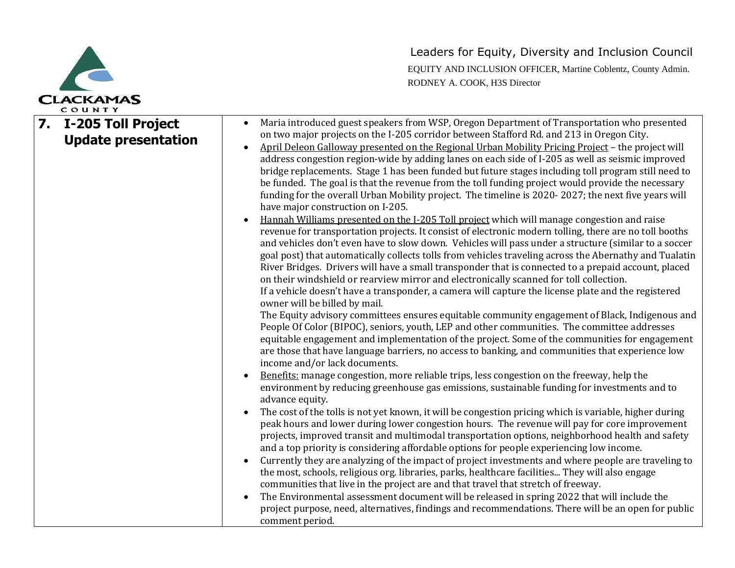

|    | COUNIT                                                  |                                                                                                                                                                                                                                                                                                                                                                                                                                                                                                                                                                                                                                                                                                                                                                                                                                                                                                                                                                                                                                                                                                                                                                                                                                                                                                                                                                                                                                                                                                                                                                                                                                                                                                                                                                                                                                                                                                                                                                                                                                                                                                                                                                                                                                                                                                                                                                                                                                                                                                                                                                                                                                                                                                                                                                                                                                                                                                                                                                                                                                                                                                                         |
|----|---------------------------------------------------------|-------------------------------------------------------------------------------------------------------------------------------------------------------------------------------------------------------------------------------------------------------------------------------------------------------------------------------------------------------------------------------------------------------------------------------------------------------------------------------------------------------------------------------------------------------------------------------------------------------------------------------------------------------------------------------------------------------------------------------------------------------------------------------------------------------------------------------------------------------------------------------------------------------------------------------------------------------------------------------------------------------------------------------------------------------------------------------------------------------------------------------------------------------------------------------------------------------------------------------------------------------------------------------------------------------------------------------------------------------------------------------------------------------------------------------------------------------------------------------------------------------------------------------------------------------------------------------------------------------------------------------------------------------------------------------------------------------------------------------------------------------------------------------------------------------------------------------------------------------------------------------------------------------------------------------------------------------------------------------------------------------------------------------------------------------------------------------------------------------------------------------------------------------------------------------------------------------------------------------------------------------------------------------------------------------------------------------------------------------------------------------------------------------------------------------------------------------------------------------------------------------------------------------------------------------------------------------------------------------------------------------------------------------------------------------------------------------------------------------------------------------------------------------------------------------------------------------------------------------------------------------------------------------------------------------------------------------------------------------------------------------------------------------------------------------------------------------------------------------------------------|
| 7. | <b>I-205 Toll Project</b><br><b>Update presentation</b> | Maria introduced guest speakers from WSP, Oregon Department of Transportation who presented<br>on two major projects on the I-205 corridor between Stafford Rd. and 213 in Oregon City.<br>April Deleon Galloway presented on the Regional Urban Mobility Pricing Project - the project will<br>address congestion region-wide by adding lanes on each side of I-205 as well as seismic improved<br>bridge replacements. Stage 1 has been funded but future stages including toll program still need to<br>be funded. The goal is that the revenue from the toll funding project would provide the necessary<br>funding for the overall Urban Mobility project. The timeline is 2020-2027; the next five years will<br>have major construction on I-205.<br>Hannah Williams presented on the I-205 Toll project which will manage congestion and raise<br>revenue for transportation projects. It consist of electronic modern tolling, there are no toll booths<br>and vehicles don't even have to slow down. Vehicles will pass under a structure (similar to a soccer<br>goal post) that automatically collects tolls from vehicles traveling across the Abernathy and Tualatin<br>River Bridges. Drivers will have a small transponder that is connected to a prepaid account, placed<br>on their windshield or rearview mirror and electronically scanned for toll collection.<br>If a vehicle doesn't have a transponder, a camera will capture the license plate and the registered<br>owner will be billed by mail.<br>The Equity advisory committees ensures equitable community engagement of Black, Indigenous and<br>People Of Color (BIPOC), seniors, youth, LEP and other communities. The committee addresses<br>equitable engagement and implementation of the project. Some of the communities for engagement<br>are those that have language barriers, no access to banking, and communities that experience low<br>income and/or lack documents.<br>Benefits: manage congestion, more reliable trips, less congestion on the freeway, help the<br>environment by reducing greenhouse gas emissions, sustainable funding for investments and to<br>advance equity.<br>The cost of the tolls is not yet known, it will be congestion pricing which is variable, higher during<br>peak hours and lower during lower congestion hours. The revenue will pay for core improvement<br>projects, improved transit and multimodal transportation options, neighborhood health and safety<br>and a top priority is considering affordable options for people experiencing low income.<br>Currently they are analyzing of the impact of project investments and where people are traveling to<br>the most, schools, religious org. libraries, parks, healthcare facilities They will also engage<br>communities that live in the project are and that travel that stretch of freeway.<br>The Environmental assessment document will be released in spring 2022 that will include the<br>project purpose, need, alternatives, findings and recommendations. There will be an open for public<br>comment period. |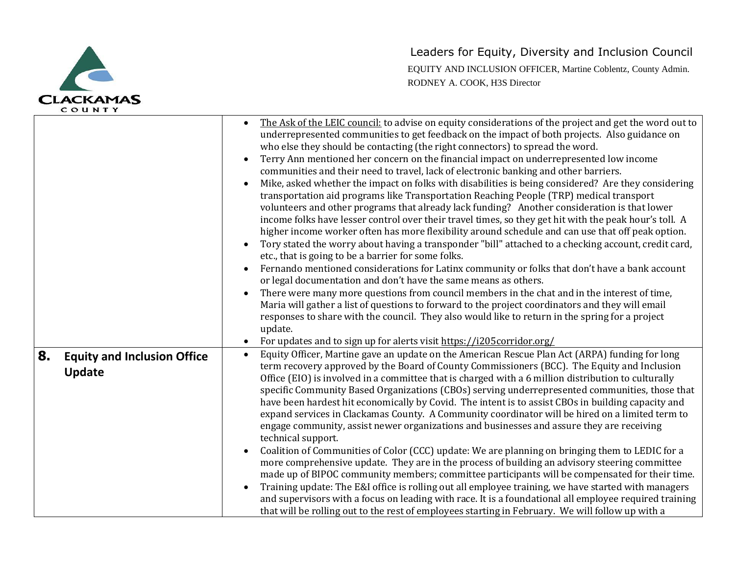

| counii                                             |                                                                                                                                                                                                                                                                                                                                                                                                                                                                                                                                                                                                                                                                                                                                                                                                                                                                                                                                                                                                                                                                                                                                                                                                                                                                                                                                                                                                                                                                                                                                                                                                                                                                                                                                         |
|----------------------------------------------------|-----------------------------------------------------------------------------------------------------------------------------------------------------------------------------------------------------------------------------------------------------------------------------------------------------------------------------------------------------------------------------------------------------------------------------------------------------------------------------------------------------------------------------------------------------------------------------------------------------------------------------------------------------------------------------------------------------------------------------------------------------------------------------------------------------------------------------------------------------------------------------------------------------------------------------------------------------------------------------------------------------------------------------------------------------------------------------------------------------------------------------------------------------------------------------------------------------------------------------------------------------------------------------------------------------------------------------------------------------------------------------------------------------------------------------------------------------------------------------------------------------------------------------------------------------------------------------------------------------------------------------------------------------------------------------------------------------------------------------------------|
|                                                    | The Ask of the LEIC council: to advise on equity considerations of the project and get the word out to<br>underrepresented communities to get feedback on the impact of both projects. Also guidance on<br>who else they should be contacting (the right connectors) to spread the word.<br>Terry Ann mentioned her concern on the financial impact on underrepresented low income<br>communities and their need to travel, lack of electronic banking and other barriers.<br>Mike, asked whether the impact on folks with disabilities is being considered? Are they considering<br>$\bullet$<br>transportation aid programs like Transportation Reaching People (TRP) medical transport<br>volunteers and other programs that already lack funding? Another consideration is that lower<br>income folks have lesser control over their travel times, so they get hit with the peak hour's toll. A<br>higher income worker often has more flexibility around schedule and can use that off peak option.<br>Tory stated the worry about having a transponder "bill" attached to a checking account, credit card,<br>etc., that is going to be a barrier for some folks.<br>Fernando mentioned considerations for Latinx community or folks that don't have a bank account<br>or legal documentation and don't have the same means as others.<br>There were many more questions from council members in the chat and in the interest of time,<br>Maria will gather a list of questions to forward to the project coordinators and they will email<br>responses to share with the council. They also would like to return in the spring for a project<br>update.<br>For updates and to sign up for alerts visit https://i205corridor.org/ |
| 8.<br><b>Equity and Inclusion Office</b><br>Update | Equity Officer, Martine gave an update on the American Rescue Plan Act (ARPA) funding for long<br>$\bullet$<br>term recovery approved by the Board of County Commissioners (BCC). The Equity and Inclusion<br>Office (EIO) is involved in a committee that is charged with a 6 million distribution to culturally<br>specific Community Based Organizations (CBOs) serving underrepresented communities, those that<br>have been hardest hit economically by Covid. The intent is to assist CBOs in building capacity and<br>expand services in Clackamas County. A Community coordinator will be hired on a limited term to<br>engage community, assist newer organizations and businesses and assure they are receiving<br>technical support.<br>Coalition of Communities of Color (CCC) update: We are planning on bringing them to LEDIC for a<br>more comprehensive update. They are in the process of building an advisory steering committee<br>made up of BIPOC community members; committee participants will be compensated for their time.<br>Training update: The E&I office is rolling out all employee training, we have started with managers<br>and supervisors with a focus on leading with race. It is a foundational all employee required training<br>that will be rolling out to the rest of employees starting in February. We will follow up with a                                                                                                                                                                                                                                                                                                                                                              |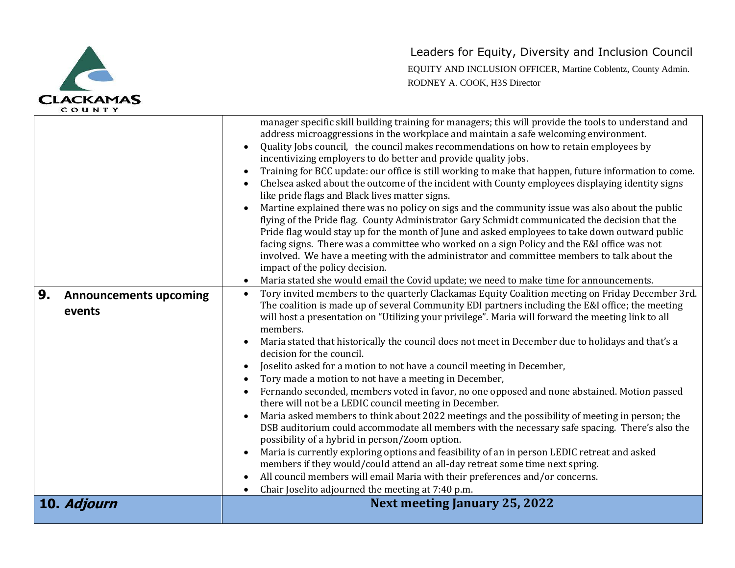

| c o u n i t                                   |                                                                                                                                                                                                                                                                                                                                                                                                                                                                                                                                                                                                                                                                                                                                                                                                                                                                                                                                                                                                                                                                                                                                                                                                                                                                                                                                                                                                                                                                                                                                                                                                                                                                                                                                                                                                                                                                                                                                                                                                                                                                                                                                                                                                                                                                                                                                                                                                                                                                                                                                                                                                                                            |
|-----------------------------------------------|--------------------------------------------------------------------------------------------------------------------------------------------------------------------------------------------------------------------------------------------------------------------------------------------------------------------------------------------------------------------------------------------------------------------------------------------------------------------------------------------------------------------------------------------------------------------------------------------------------------------------------------------------------------------------------------------------------------------------------------------------------------------------------------------------------------------------------------------------------------------------------------------------------------------------------------------------------------------------------------------------------------------------------------------------------------------------------------------------------------------------------------------------------------------------------------------------------------------------------------------------------------------------------------------------------------------------------------------------------------------------------------------------------------------------------------------------------------------------------------------------------------------------------------------------------------------------------------------------------------------------------------------------------------------------------------------------------------------------------------------------------------------------------------------------------------------------------------------------------------------------------------------------------------------------------------------------------------------------------------------------------------------------------------------------------------------------------------------------------------------------------------------------------------------------------------------------------------------------------------------------------------------------------------------------------------------------------------------------------------------------------------------------------------------------------------------------------------------------------------------------------------------------------------------------------------------------------------------------------------------------------------------|
| 9.<br><b>Announcements upcoming</b><br>events | manager specific skill building training for managers; this will provide the tools to understand and<br>address microaggressions in the workplace and maintain a safe welcoming environment.<br>Quality Jobs council, the council makes recommendations on how to retain employees by<br>$\bullet$<br>incentivizing employers to do better and provide quality jobs.<br>Training for BCC update: our office is still working to make that happen, future information to come.<br>$\bullet$<br>Chelsea asked about the outcome of the incident with County employees displaying identity signs<br>like pride flags and Black lives matter signs.<br>Martine explained there was no policy on sigs and the community issue was also about the public<br>flying of the Pride flag. County Administrator Gary Schmidt communicated the decision that the<br>Pride flag would stay up for the month of June and asked employees to take down outward public<br>facing signs. There was a committee who worked on a sign Policy and the E&I office was not<br>involved. We have a meeting with the administrator and committee members to talk about the<br>impact of the policy decision.<br>Maria stated she would email the Covid update; we need to make time for announcements.<br>Tory invited members to the quarterly Clackamas Equity Coalition meeting on Friday December 3rd.<br>$\bullet$<br>The coalition is made up of several Community EDI partners including the E&I office; the meeting<br>will host a presentation on "Utilizing your privilege". Maria will forward the meeting link to all<br>members.<br>Maria stated that historically the council does not meet in December due to holidays and that's a<br>decision for the council.<br>Joselito asked for a motion to not have a council meeting in December,<br>$\bullet$<br>Tory made a motion to not have a meeting in December,<br>$\bullet$<br>Fernando seconded, members voted in favor, no one opposed and none abstained. Motion passed<br>$\bullet$<br>there will not be a LEDIC council meeting in December.<br>Maria asked members to think about 2022 meetings and the possibility of meeting in person; the<br>$\bullet$<br>DSB auditorium could accommodate all members with the necessary safe spacing. There's also the<br>possibility of a hybrid in person/Zoom option.<br>Maria is currently exploring options and feasibility of an in person LEDIC retreat and asked<br>$\bullet$<br>members if they would/could attend an all-day retreat some time next spring.<br>All council members will email Maria with their preferences and/or concerns. |
|                                               | Chair Joselito adjourned the meeting at 7:40 p.m.                                                                                                                                                                                                                                                                                                                                                                                                                                                                                                                                                                                                                                                                                                                                                                                                                                                                                                                                                                                                                                                                                                                                                                                                                                                                                                                                                                                                                                                                                                                                                                                                                                                                                                                                                                                                                                                                                                                                                                                                                                                                                                                                                                                                                                                                                                                                                                                                                                                                                                                                                                                          |
| 10. Adjourn                                   | <b>Next meeting January 25, 2022</b>                                                                                                                                                                                                                                                                                                                                                                                                                                                                                                                                                                                                                                                                                                                                                                                                                                                                                                                                                                                                                                                                                                                                                                                                                                                                                                                                                                                                                                                                                                                                                                                                                                                                                                                                                                                                                                                                                                                                                                                                                                                                                                                                                                                                                                                                                                                                                                                                                                                                                                                                                                                                       |
|                                               |                                                                                                                                                                                                                                                                                                                                                                                                                                                                                                                                                                                                                                                                                                                                                                                                                                                                                                                                                                                                                                                                                                                                                                                                                                                                                                                                                                                                                                                                                                                                                                                                                                                                                                                                                                                                                                                                                                                                                                                                                                                                                                                                                                                                                                                                                                                                                                                                                                                                                                                                                                                                                                            |